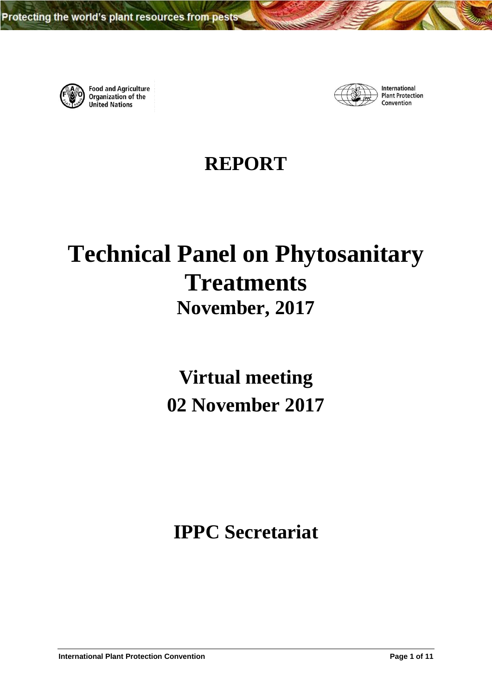

**Food and Agriculture** Organization of the **United Nations** 



International **Plant Protection** Convention

**REPORT**

# **Technical Panel on Phytosanitary Treatments November, 2017**

**Virtual meeting 02 November 2017**

**IPPC Secretariat**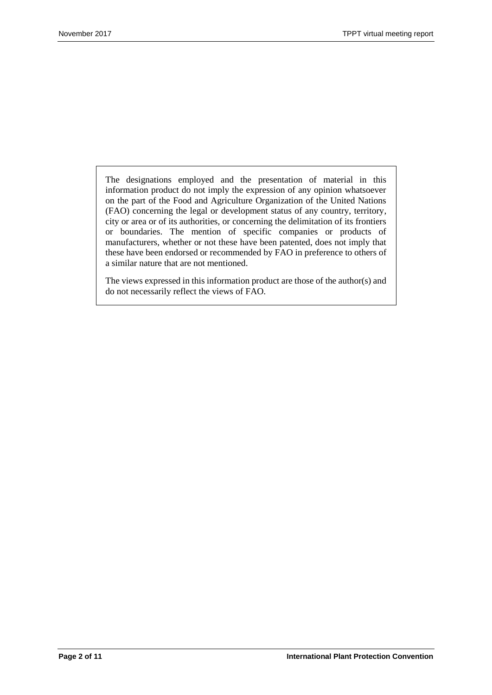The designations employed and the presentation of material in this information product do not imply the expression of any opinion whatsoever on the part of the Food and Agriculture Organization of the United Nations (FAO) concerning the legal or development status of any country, territory, city or area or of its authorities, or concerning the delimitation of its frontiers or boundaries. The mention of specific companies or products of manufacturers, whether or not these have been patented, does not imply that these have been endorsed or recommended by FAO in preference to others of a similar nature that are not mentioned.

The views expressed in this information product are those of the author(s) and do not necessarily reflect the views of FAO.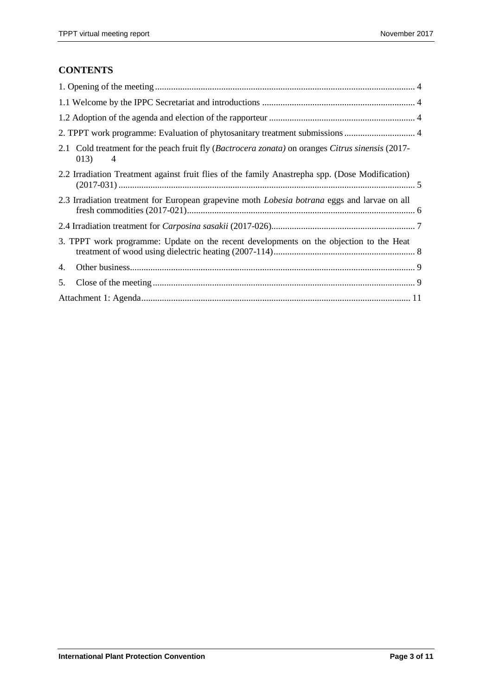# **CONTENTS**

| 2.1 Cold treatment for the peach fruit fly (Bactrocera zonata) on oranges Citrus sinensis (2017-<br>013)<br>$\overline{4}$ |  |  |  |  |
|----------------------------------------------------------------------------------------------------------------------------|--|--|--|--|
| 2.2 Irradiation Treatment against fruit flies of the family Anastrepha spp. (Dose Modification)                            |  |  |  |  |
| 2.3 Irradiation treatment for European grapevine moth <i>Lobesia botrana</i> eggs and larvae on all                        |  |  |  |  |
|                                                                                                                            |  |  |  |  |
| 3. TPPT work programme: Update on the recent developments on the objection to the Heat                                     |  |  |  |  |
| 4.                                                                                                                         |  |  |  |  |
| 5.                                                                                                                         |  |  |  |  |
|                                                                                                                            |  |  |  |  |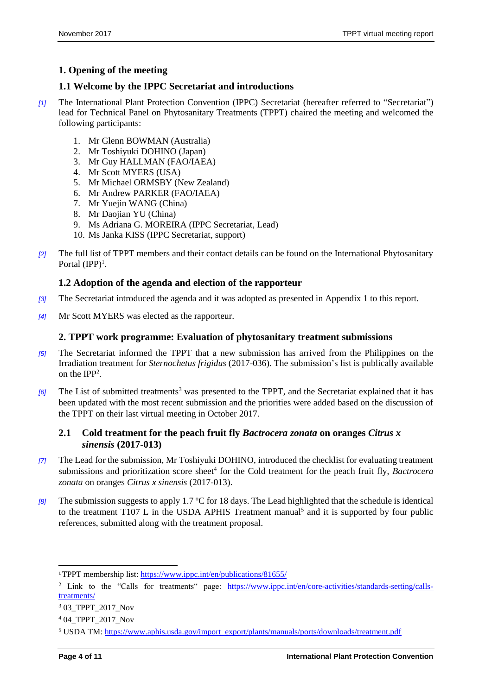## <span id="page-3-0"></span>**1. Opening of the meeting**

## <span id="page-3-1"></span>**1.1 Welcome by the IPPC Secretariat and introductions**

- *[1]* The International Plant Protection Convention (IPPC) Secretariat (hereafter referred to "Secretariat") lead for Technical Panel on Phytosanitary Treatments (TPPT) chaired the meeting and welcomed the following participants:
	- 1. Mr Glenn BOWMAN (Australia)
	- 2. Mr Toshiyuki DOHINO (Japan)
	- 3. Mr Guy HALLMAN (FAO/IAEA)
	- 4. Mr Scott MYERS (USA)
	- 5. Mr Michael ORMSBY (New Zealand)
	- 6. Mr Andrew PARKER (FAO/IAEA)
	- 7. Mr Yuejin WANG (China)
	- 8. Mr Daojian YU (China)
	- 9. Ms Adriana G. MOREIRA (IPPC Secretariat, Lead)
	- 10. Ms Janka KISS (IPPC Secretariat, support)
- *[2]* The full list of TPPT members and their contact details can be found on the International Phytosanitary Portal  $(IPP)^1$ .

### <span id="page-3-2"></span>**1.2 Adoption of the agenda and election of the rapporteur**

- *[3]* The Secretariat introduced the agenda and it was adopted as presented in Appendix 1 to this report.
- *[4]* Mr Scott MYERS was elected as the rapporteur.

#### <span id="page-3-3"></span>**2. TPPT work programme: Evaluation of phytosanitary treatment submissions**

- *[5]* The Secretariat informed the TPPT that a new submission has arrived from the Philippines on the Irradiation treatment for *Sternochetus frigidus* (2017-036). The submission's list is publically available on the  $IPP<sup>2</sup>$ .
- *[6]* The List of submitted treatments<sup>3</sup> was presented to the TPPT, and the Secretariat explained that it has been updated with the most recent submission and the priorities were added based on the discussion of the TPPT on their last virtual meeting in October 2017.

#### <span id="page-3-4"></span>**2.1 Cold treatment for the peach fruit fly** *Bactrocera zonata* **on oranges** *Citrus x sinensis* **(2017-013)**

- *[7]* The Lead for the submission, Mr Toshiyuki DOHINO, introduced the checklist for evaluating treatment submissions and prioritization score sheet<sup>4</sup> for the Cold treatment for the peach fruit fly, *Bactrocera zonata* on oranges *Citrus x sinensis* (2017-013).
- *[8]* The submission suggests to apply 1.7 °C for 18 days. The Lead highlighted that the schedule is identical to the treatment T107 L in the USDA APHIS Treatment manual<sup>5</sup> and it is supported by four public references, submitted along with the treatment proposal.

<sup>1</sup>TPPT membership list: https://www.ippc.int/en/publications/81655/

<sup>&</sup>lt;sup>2</sup> Link to the "Calls for treatments" page: [https://www.ippc.int/en/core-activities/standards-setting/calls](https://www.ippc.int/en/core-activities/standards-setting/calls-treatments/)[treatments/](https://www.ippc.int/en/core-activities/standards-setting/calls-treatments/)

<sup>3</sup> 03\_TPPT\_2017\_Nov

<sup>&</sup>lt;sup>4</sup> 04 TPPT 2017 Nov

<sup>5</sup> USDA TM[: https://www.aphis.usda.gov/import\\_export/plants/manuals/ports/downloads/treatment.pdf](https://www.aphis.usda.gov/import_export/plants/manuals/ports/downloads/treatment.pdf)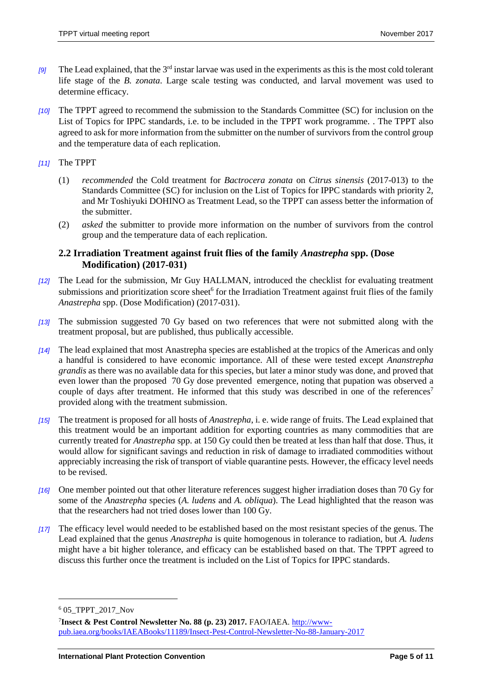- [9] The Lead explained, that the 3<sup>rd</sup> instar larvae was used in the experiments as this is the most cold tolerant life stage of the *B. zonata*. Large scale testing was conducted, and larval movement was used to determine efficacy.
- *[10]* The TPPT agreed to recommend the submission to the Standards Committee (SC) for inclusion on the List of Topics for IPPC standards, i.e. to be included in the TPPT work programme. . The TPPT also agreed to ask for more information from the submitter on the number of survivors from the control group and the temperature data of each replication.
- *[11]* The TPPT
	- (1) *recommended* the Cold treatment for *Bactrocera zonata* on *Citrus sinensis* (2017-013) to the Standards Committee (SC) for inclusion on the List of Topics for IPPC standards with priority 2, and Mr Toshiyuki DOHINO as Treatment Lead, so the TPPT can assess better the information of the submitter.
	- (2) *asked* the submitter to provide more information on the number of survivors from the control group and the temperature data of each replication.

## <span id="page-4-0"></span>**2.2 Irradiation Treatment against fruit flies of the family** *Anastrepha* **spp. (Dose Modification) (2017-031)**

- *[12]* The Lead for the submission, Mr Guy HALLMAN, introduced the checklist for evaluating treatment submissions and prioritization score sheet<sup>6</sup> for the Irradiation Treatment against fruit flies of the family *Anastrepha* spp. (Dose Modification) (2017-031).
- *[13]* The submission suggested 70 Gy based on two references that were not submitted along with the treatment proposal, but are published, thus publically accessible.
- *[14]* The lead explained that most Anastrepha species are established at the tropics of the Americas and only a handful is considered to have economic importance. All of these were tested except *Ananstrepha grandis* as there was no available data for this species, but later a minor study was done, and proved that even lower than the proposed 70 Gy dose prevented emergence, noting that pupation was observed a couple of days after treatment. He informed that this study was described in one of the references<sup>7</sup> provided along with the treatment submission.
- *[15]* The treatment is proposed for all hosts of *Anastrepha*, i. e. wide range of fruits. The Lead explained that this treatment would be an important addition for exporting countries as many commodities that are currently treated for *Anastrepha* spp. at 150 Gy could then be treated at less than half that dose. Thus, it would allow for significant savings and reduction in risk of damage to irradiated commodities without appreciably increasing the risk of transport of viable quarantine pests. However, the efficacy level needs to be revised.
- *[16]* One member pointed out that other literature references suggest higher irradiation doses than 70 Gy for some of the *Anastrepha* species (*A. ludens* and *A. obliqua*). The Lead highlighted that the reason was that the researchers had not tried doses lower than 100 Gy.
- *[17]* The efficacy level would needed to be established based on the most resistant species of the genus. The Lead explained that the genus *Anastrepha* is quite homogenous in tolerance to radiation, but *A. ludens* might have a bit higher tolerance, and efficacy can be established based on that. The TPPT agreed to discuss this further once the treatment is included on the List of Topics for IPPC standards.

<sup>6</sup> 05\_TPPT\_2017\_Nov

<sup>&</sup>lt;sup>7</sup>Insect & Pest Control Newsletter No. 88 (p. 23) 2017. FAO/IAEA. <u>http://www-</u> [pub.iaea.org/books/IAEABooks/11189/Insect-Pest-Control-Newsletter-No-88-January-2017](http://www-pub.iaea.org/books/IAEABooks/11189/Insect-Pest-Control-Newsletter-No-88-January-2017)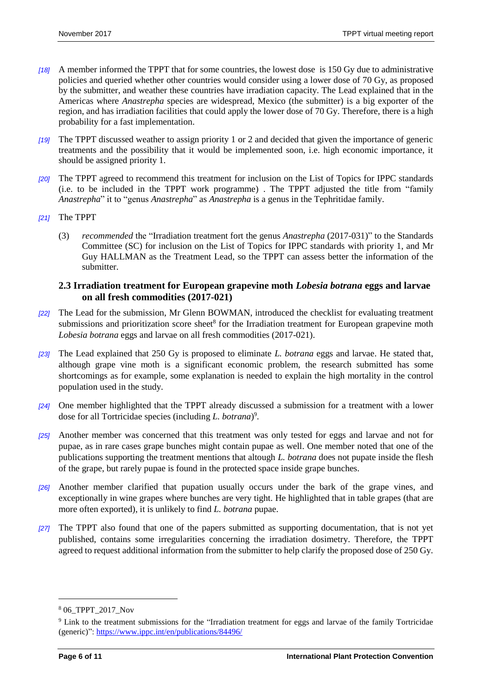- *[18]* A member informed the TPPT that for some countries, the lowest dose is 150 Gy due to administrative policies and queried whether other countries would consider using a lower dose of 70 Gy, as proposed by the submitter, and weather these countries have irradiation capacity. The Lead explained that in the Americas where *Anastrepha* species are widespread, Mexico (the submitter) is a big exporter of the region, and has irradiation facilities that could apply the lower dose of 70 Gy. Therefore, there is a high probability for a fast implementation.
- *[19]* The TPPT discussed weather to assign priority 1 or 2 and decided that given the importance of generic treatments and the possibility that it would be implemented soon, i.e. high economic importance, it should be assigned priority 1.
- *[20]* The TPPT agreed to recommend this treatment for inclusion on the List of Topics for IPPC standards (i.e. to be included in the TPPT work programme) . The TPPT adjusted the title from "family *Anastrepha*" it to "genus *Anastrepha*" as *Anastrepha* is a genus in the Tephritidae family.
- *[21]* The TPPT
	- (3) *recommended* the "Irradiation treatment fort the genus *Anastrepha* (2017-031)" to the Standards Committee (SC) for inclusion on the List of Topics for IPPC standards with priority 1, and Mr Guy HALLMAN as the Treatment Lead, so the TPPT can assess better the information of the submitter.

#### <span id="page-5-0"></span>**2.3 Irradiation treatment for European grapevine moth** *Lobesia botrana* **eggs and larvae on all fresh commodities (2017-021)**

- *[22]* The Lead for the submission, Mr Glenn BOWMAN, introduced the checklist for evaluating treatment submissions and prioritization score sheet<sup>8</sup> for the Irradiation treatment for European grapevine moth *Lobesia botrana* eggs and larvae on all fresh commodities (2017-021).
- *[23]* The Lead explained that 250 Gy is proposed to eliminate *L. botrana* eggs and larvae. He stated that, although grape vine moth is a significant economic problem, the research submitted has some shortcomings as for example, some explanation is needed to explain the high mortality in the control population used in the study.
- *[24]* One member highlighted that the TPPT already discussed a submission for a treatment with a lower dose for all Tortricidae species (including *L. botrana*) 9 .
- *[25]* Another member was concerned that this treatment was only tested for eggs and larvae and not for pupae, as in rare cases grape bunches might contain pupae as well. One member noted that one of the publications supporting the treatment mentions that altough *L. botrana* does not pupate inside the flesh of the grape, but rarely pupae is found in the protected space inside grape bunches.
- *[26]* Another member clarified that pupation usually occurs under the bark of the grape vines, and exceptionally in wine grapes where bunches are very tight. He highlighted that in table grapes (that are more often exported), it is unlikely to find *L. botrana* pupae.
- *[27]* The TPPT also found that one of the papers submitted as supporting documentation, that is not yet published, contains some irregularities concerning the irradiation dosimetry. Therefore, the TPPT agreed to request additional information from the submitter to help clarify the proposed dose of 250 Gy.

<sup>8</sup> 06\_TPPT\_2017\_Nov

<sup>9</sup> Link to the treatment submissions for the "Irradiation treatment for eggs and larvae of the family Tortricidae (generic)"[: https://www.ippc.int/en/publications/84496/](https://www.ippc.int/en/publications/84496/)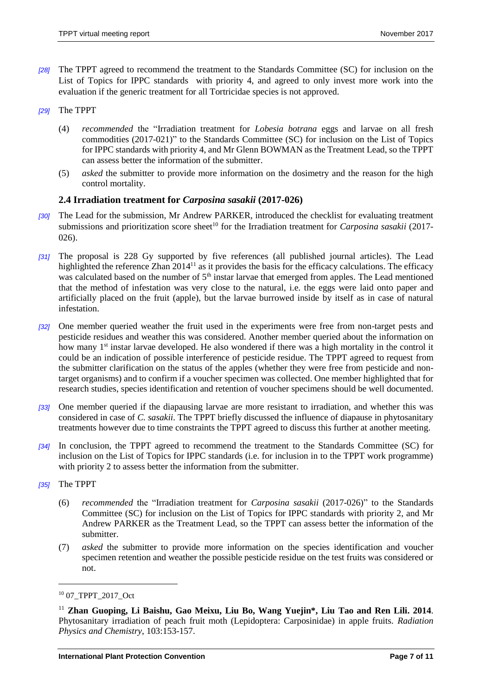- *[28]* The TPPT agreed to recommend the treatment to the Standards Committee (SC) for inclusion on the List of Topics for IPPC standards with priority 4, and agreed to only invest more work into the evaluation if the generic treatment for all Tortricidae species is not approved.
- *[29]* The TPPT
	- (4) *recommended* the "Irradiation treatment for *Lobesia botrana* eggs and larvae on all fresh commodities (2017-021)" to the Standards Committee (SC) for inclusion on the List of Topics for IPPC standards with priority 4, and Mr Glenn BOWMAN as the Treatment Lead, so the TPPT can assess better the information of the submitter.
	- (5) *asked* the submitter to provide more information on the dosimetry and the reason for the high control mortality.

#### <span id="page-6-0"></span>**2.4 Irradiation treatment for** *Carposina sasakii* **(2017-026)**

- *[30]* The Lead for the submission, Mr Andrew PARKER, introduced the checklist for evaluating treatment submissions and prioritization score sheet<sup>10</sup> for the Irradiation treatment for *Carposina sasakii* (2017-026).
- *[31]* The proposal is 228 Gy supported by five references (all published journal articles). The Lead highlighted the reference Zhan 2014<sup>11</sup> as it provides the basis for the efficacy calculations. The efficacy was calculated based on the number of 5<sup>th</sup> instar larvae that emerged from apples. The Lead mentioned that the method of infestation was very close to the natural, i.e. the eggs were laid onto paper and artificially placed on the fruit (apple), but the larvae burrowed inside by itself as in case of natural infestation.
- *[32]* One member queried weather the fruit used in the experiments were free from non-target pests and pesticide residues and weather this was considered. Another member queried about the information on how many 1<sup>st</sup> instar larvae developed. He also wondered if there was a high mortality in the control it could be an indication of possible interference of pesticide residue. The TPPT agreed to request from the submitter clarification on the status of the apples (whether they were free from pesticide and nontarget organisms) and to confirm if a voucher specimen was collected. One member highlighted that for research studies, species identification and retention of voucher specimens should be well documented.
- *[33]* One member queried if the diapausing larvae are more resistant to irradiation, and whether this was considered in case of *C. sasakii.* The TPPT briefly discussed the influence of diapause in phytosanitary treatments however due to time constraints the TPPT agreed to discuss this further at another meeting.
- *[34]* In conclusion, the TPPT agreed to recommend the treatment to the Standards Committee (SC) for inclusion on the List of Topics for IPPC standards (i.e. for inclusion in to the TPPT work programme) with priority 2 to assess better the information from the submitter.
- *[35]* The TPPT

- (6) *recommended* the "Irradiation treatment for *Carposina sasakii* (2017-026)" to the Standards Committee (SC) for inclusion on the List of Topics for IPPC standards with priority 2, and Mr Andrew PARKER as the Treatment Lead, so the TPPT can assess better the information of the submitter.
- (7) *asked* the submitter to provide more information on the species identification and voucher specimen retention and weather the possible pesticide residue on the test fruits was considered or not.

<sup>10</sup> 07\_TPPT\_2017\_Oct

<sup>11</sup> **Zhan Guoping, Li Baishu, Gao Meixu, Liu Bo, Wang Yuejin\*, Liu Tao and Ren Lili. 2014**. Phytosanitary irradiation of peach fruit moth (Lepidoptera: Carposinidae) in apple fruits. *Radiation Physics and Chemistry*, 103:153-157.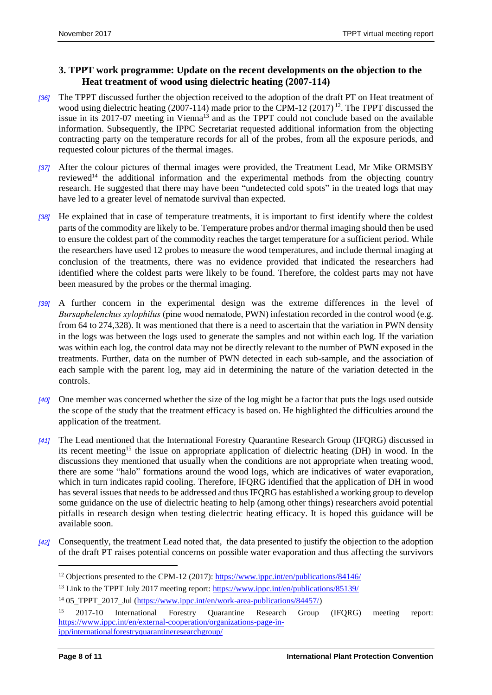## <span id="page-7-0"></span>**3. TPPT work programme: Update on the recent developments on the objection to the Heat treatment of wood using dielectric heating (2007-114)**

- *[36]* The TPPT discussed further the objection received to the adoption of the draft PT on Heat treatment of wood using dielectric heating (2007-114) made prior to the CPM-12 (2017)<sup>12</sup>. The TPPT discussed the issue in its 2017-07 meeting in Vienna<sup>13</sup> and as the TPPT could not conclude based on the available information. Subsequently, the IPPC Secretariat requested additional information from the objecting contracting party on the temperature records for all of the probes, from all the exposure periods, and requested colour pictures of the thermal images.
- *[37]* After the colour pictures of thermal images were provided, the Treatment Lead, Mr Mike ORMSBY reviewed<sup>14</sup> the additional information and the experimental methods from the objecting country research. He suggested that there may have been "undetected cold spots" in the treated logs that may have led to a greater level of nematode survival than expected.
- *[38]* He explained that in case of temperature treatments, it is important to first identify where the coldest parts of the commodity are likely to be. Temperature probes and/or thermal imaging should then be used to ensure the coldest part of the commodity reaches the target temperature for a sufficient period. While the researchers have used 12 probes to measure the wood temperatures, and include thermal imaging at conclusion of the treatments, there was no evidence provided that indicated the researchers had identified where the coldest parts were likely to be found. Therefore, the coldest parts may not have been measured by the probes or the thermal imaging.
- *[39]* A further concern in the experimental design was the extreme differences in the level of *Bursaphelenchus xylophilus* (pine wood nematode, PWN) infestation recorded in the control wood (e.g. from 64 to 274,328). It was mentioned that there is a need to ascertain that the variation in PWN density in the logs was between the logs used to generate the samples and not within each log. If the variation was within each log, the control data may not be directly relevant to the number of PWN exposed in the treatments. Further, data on the number of PWN detected in each sub-sample, and the association of each sample with the parent log, may aid in determining the nature of the variation detected in the controls.
- *[40]* One member was concerned whether the size of the log might be a factor that puts the logs used outside the scope of the study that the treatment efficacy is based on. He highlighted the difficulties around the application of the treatment.
- *[41]* The Lead mentioned that the International Forestry Quarantine Research Group (IFQRG) discussed in its recent meeting<sup>15</sup> the issue on appropriate application of dielectric heating (DH) in wood. In the discussions they mentioned that usually when the conditions are not appropriate when treating wood, there are some "halo" formations around the wood logs, which are indicatives of water evaporation, which in turn indicates rapid cooling. Therefore, IFQRG identified that the application of DH in wood has several issues that needs to be addressed and thus IFQRG has established a working group to develop some guidance on the use of dielectric heating to help (among other things) researchers avoid potential pitfalls in research design when testing dielectric heating efficacy. It is hoped this guidance will be available soon.
- *[42]* Consequently, the treatment Lead noted that, the data presented to justify the objection to the adoption of the draft PT raises potential concerns on possible water evaporation and thus affecting the survivors

<sup>&</sup>lt;sup>12</sup> Objections presented to the CPM-12 (2017)[: https://www.ippc.int/en/publications/84146/](https://www.ippc.int/en/publications/84146/)

<sup>&</sup>lt;sup>13</sup> Link to the TPPT July 2017 meeting report:<https://www.ippc.int/en/publications/85139/>

<sup>&</sup>lt;sup>14</sup> 05\_TPPT\_2017\_Jul [\(https://www.ippc.int/en/work-area-publications/84457/\)](https://www.ippc.int/en/work-area-publications/84457/)

<sup>15</sup> 2017-10 International Forestry Quarantine Research Group (IFQRG) meeting report: [https://www.ippc.int/en/external-cooperation/organizations-page-in](https://www.ippc.int/en/external-cooperation/organizations-page-in-ipp/internationalforestryquarantineresearchgroup/)[ipp/internationalforestryquarantineresearchgroup/](https://www.ippc.int/en/external-cooperation/organizations-page-in-ipp/internationalforestryquarantineresearchgroup/)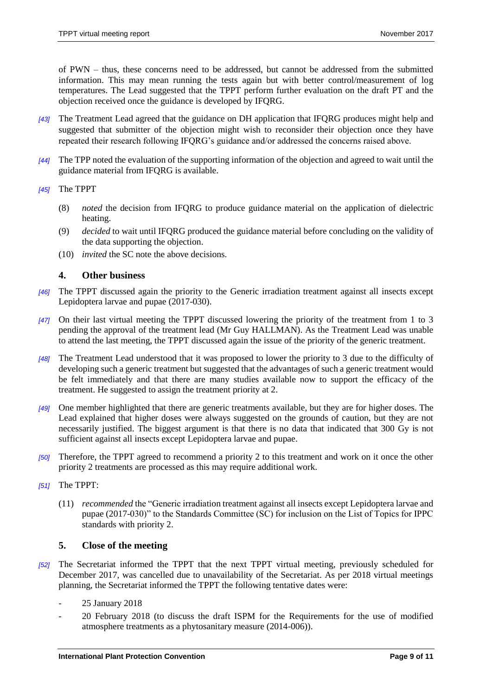of PWN – thus, these concerns need to be addressed, but cannot be addressed from the submitted information. This may mean running the tests again but with better control/measurement of log temperatures. The Lead suggested that the TPPT perform further evaluation on the draft PT and the objection received once the guidance is developed by IFQRG.

- *[43]* The Treatment Lead agreed that the guidance on DH application that IFQRG produces might help and suggested that submitter of the objection might wish to reconsider their objection once they have repeated their research following IFQRG's guidance and/or addressed the concerns raised above.
- *[44]* The TPP noted the evaluation of the supporting information of the objection and agreed to wait until the guidance material from IFQRG is available.

#### *[45]* The TPPT

- (8) *noted* the decision from IFQRG to produce guidance material on the application of dielectric heating.
- (9) *decided* to wait until IFQRG produced the guidance material before concluding on the validity of the data supporting the objection.
- (10) *invited* the SC note the above decisions*.*

#### <span id="page-8-0"></span>**4. Other business**

- *[46]* The TPPT discussed again the priority to the Generic irradiation treatment against all insects except Lepidoptera larvae and pupae (2017-030).
- *[47]* On their last virtual meeting the TPPT discussed lowering the priority of the treatment from 1 to 3 pending the approval of the treatment lead (Mr Guy HALLMAN). As the Treatment Lead was unable to attend the last meeting, the TPPT discussed again the issue of the priority of the generic treatment.
- *[48]* The Treatment Lead understood that it was proposed to lower the priority to 3 due to the difficulty of developing such a generic treatment but suggested that the advantages of such a generic treatment would be felt immediately and that there are many studies available now to support the efficacy of the treatment. He suggested to assign the treatment priority at 2.
- *[49]* One member highlighted that there are generic treatments available, but they are for higher doses. The Lead explained that higher doses were always suggested on the grounds of caution, but they are not necessarily justified. The biggest argument is that there is no data that indicated that 300 Gy is not sufficient against all insects except Lepidoptera larvae and pupae.
- *[50]* Therefore, the TPPT agreed to recommend a priority 2 to this treatment and work on it once the other priority 2 treatments are processed as this may require additional work.
- *[51]* The TPPT:
	- (11) *recommended* the "Generic irradiation treatment against all insects except Lepidoptera larvae and pupae (2017-030)" to the Standards Committee (SC) for inclusion on the List of Topics for IPPC standards with priority 2.

#### <span id="page-8-1"></span>**5. Close of the meeting**

- *[52]* The Secretariat informed the TPPT that the next TPPT virtual meeting, previously scheduled for December 2017, was cancelled due to unavailability of the Secretariat. As per 2018 virtual meetings planning, the Secretariat informed the TPPT the following tentative dates were:
	- 25 January 2018
	- 20 February 2018 (to discuss the draft ISPM for the Requirements for the use of modified atmosphere treatments as a phytosanitary measure (2014-006)).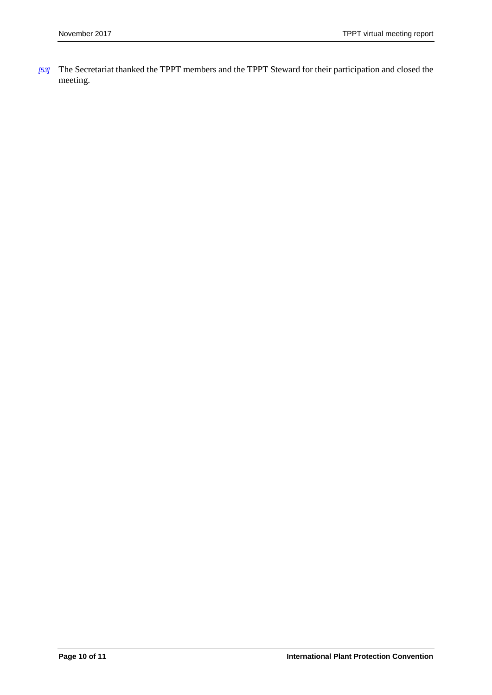*[53]* The Secretariat thanked the TPPT members and the TPPT Steward for their participation and closed the meeting.